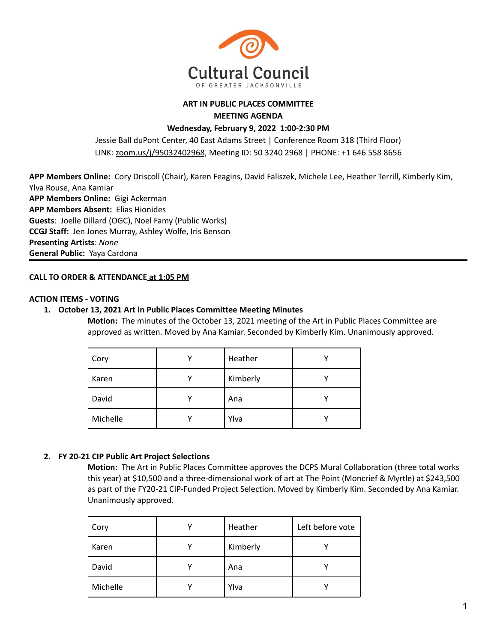

## **ART IN PUBLIC PLACES COMMITTEE MEETING AGENDA**

# **Wednesday, February 9, 2022 1:00-2:30 PM**

Jessie Ball duPont Center, 40 East Adams Street | Conference Room 318 (Third Floor) LINK: [zoom.us/j/95032402968](https://zoom.us/j/95032402968), Meeting ID: 50 3240 2968 | PHONE: +1 646 558 8656

**APP Members Online:** Cory Driscoll (Chair), Karen Feagins, David Faliszek, Michele Lee, Heather Terrill, Kimberly Kim, Ylva Rouse, Ana Kamiar **APP Members Online:** Gigi Ackerman **APP Members Absent:** Elias Hionides **Guests**: Joelle Dillard (OGC), Noel Famy (Public Works) **CCGJ Staff:** Jen Jones Murray, Ashley Wolfe, Iris Benson **Presenting Artists**: *None* **General Public:** Yaya Cardona

### **CALL TO ORDER & ATTENDANCE at 1:05 PM**

## **ACTION ITEMS - VOTING**

### **1. October 13, 2021 Art in Public Places Committee Meeting Minutes**

**Motion:** The minutes of the October 13, 2021 meeting of the Art in Public Places Committee are approved as written. Moved by Ana Kamiar. Seconded by Kimberly Kim. Unanimously approved.

| Cory     | Heather  |  |
|----------|----------|--|
| Karen    | Kimberly |  |
| David    | Ana      |  |
| Michelle | Ylva     |  |

#### **2. FY 20-21 CIP Public Art Project Selections**

**Motion:** The Art in Public Places Committee approves the DCPS Mural Collaboration (three total works this year) at \$10,500 and a three-dimensional work of art at The Point (Moncrief & Myrtle) at \$243,500 as part of the FY20-21 CIP-Funded Project Selection. Moved by Kimberly Kim. Seconded by Ana Kamiar. Unanimously approved.

| Cory     | Heather  | Left before vote |
|----------|----------|------------------|
| Karen    | Kimberly |                  |
| David    | Ana      |                  |
| Michelle | Ylva     |                  |